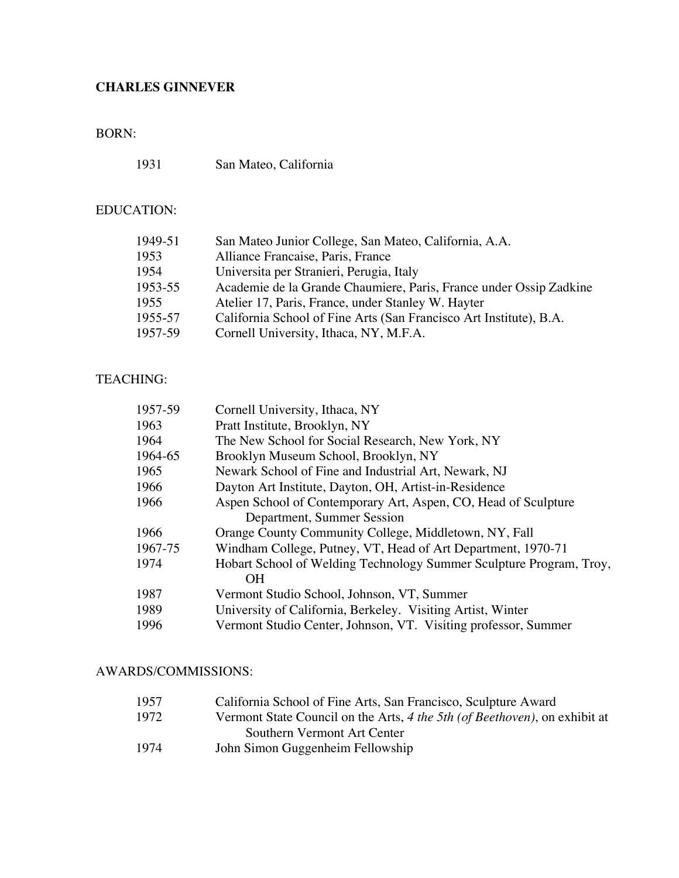## BORN:

1931 San Mateo, California

# EDUCATION:

| Alliance Francaise, Paris, France<br>1953<br>1954<br>Universita per Stranieri, Perugia, Italy<br>1953-55<br>1955<br>Atelier 17, Paris, France, under Stanley W. Hayter<br>California School of Fine Arts (San Francisco Art Institute), B.A.<br>1955-57<br>1957-59<br>Cornell University, Ithaca, NY, M.F.A. | 1949-51 | San Mateo Junior College, San Mateo, California, A.A.              |
|--------------------------------------------------------------------------------------------------------------------------------------------------------------------------------------------------------------------------------------------------------------------------------------------------------------|---------|--------------------------------------------------------------------|
|                                                                                                                                                                                                                                                                                                              |         |                                                                    |
|                                                                                                                                                                                                                                                                                                              |         |                                                                    |
|                                                                                                                                                                                                                                                                                                              |         | Academie de la Grande Chaumiere, Paris, France under Ossip Zadkine |
|                                                                                                                                                                                                                                                                                                              |         |                                                                    |
|                                                                                                                                                                                                                                                                                                              |         |                                                                    |
|                                                                                                                                                                                                                                                                                                              |         |                                                                    |

## TEACHING:

| 1957-59 | Cornell University, Ithaca, NY                                      |
|---------|---------------------------------------------------------------------|
| 1963    | Pratt Institute, Brooklyn, NY                                       |
| 1964    | The New School for Social Research, New York, NY                    |
| 1964-65 | Brooklyn Museum School, Brooklyn, NY                                |
| 1965    | Newark School of Fine and Industrial Art, Newark, NJ                |
| 1966    | Dayton Art Institute, Dayton, OH, Artist-in-Residence               |
| 1966    | Aspen School of Contemporary Art, Aspen, CO, Head of Sculpture      |
|         | Department, Summer Session                                          |
| 1966    | Orange County Community College, Middletown, NY, Fall               |
| 1967-75 | Windham College, Putney, VT, Head of Art Department, 1970-71        |
| 1974    | Hobart School of Welding Technology Summer Sculpture Program, Troy, |
|         | <b>OH</b>                                                           |
| 1987    | Vermont Studio School, Johnson, VT, Summer                          |
| 1989    | University of California, Berkeley. Visiting Artist, Winter         |
| 1996    | Vermont Studio Center, Johnson, VT. Visiting professor, Summer      |
|         |                                                                     |

### AWARDS/COMMISSIONS:

| 1957 | California School of Fine Arts, San Francisco, Sculpture Award             |
|------|----------------------------------------------------------------------------|
| 1972 | Vermont State Council on the Arts, 4 the 5th (of Beethoven), on exhibit at |
|      | Southern Vermont Art Center                                                |
| 1974 | John Simon Guggenheim Fellowship                                           |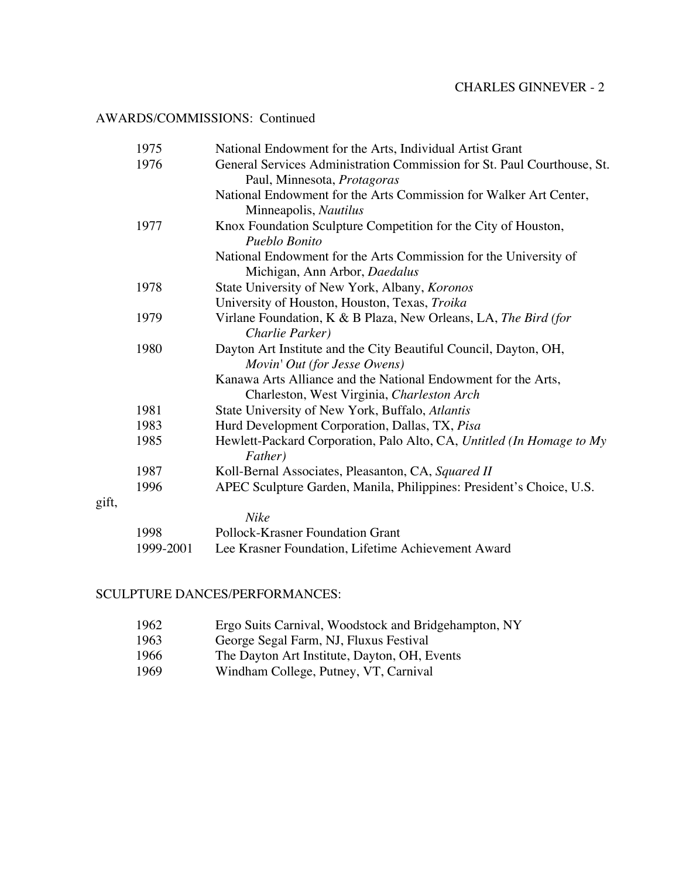### AWARDS/COMMISSIONS: Continued

|       | 1975      | National Endowment for the Arts, Individual Artist Grant                         |
|-------|-----------|----------------------------------------------------------------------------------|
|       | 1976      | General Services Administration Commission for St. Paul Courthouse, St.          |
|       |           | Paul, Minnesota, Protagoras                                                      |
|       |           | National Endowment for the Arts Commission for Walker Art Center,                |
|       |           | Minneapolis, Nautilus                                                            |
|       | 1977      | Knox Foundation Sculpture Competition for the City of Houston,                   |
|       |           | Pueblo Bonito                                                                    |
|       |           | National Endowment for the Arts Commission for the University of                 |
|       |           | Michigan, Ann Arbor, Daedalus                                                    |
|       | 1978      | State University of New York, Albany, Koronos                                    |
|       |           | University of Houston, Houston, Texas, Troika                                    |
|       | 1979      | Virlane Foundation, K & B Plaza, New Orleans, LA, The Bird (for                  |
|       |           | Charlie Parker)                                                                  |
|       | 1980      | Dayton Art Institute and the City Beautiful Council, Dayton, OH,                 |
|       |           | Movin' Out (for Jesse Owens)                                                     |
|       |           | Kanawa Arts Alliance and the National Endowment for the Arts,                    |
|       |           | Charleston, West Virginia, Charleston Arch                                       |
|       | 1981      | State University of New York, Buffalo, Atlantis                                  |
|       | 1983      | Hurd Development Corporation, Dallas, TX, Pisa                                   |
|       | 1985      | Hewlett-Packard Corporation, Palo Alto, CA, Untitled (In Homage to My<br>Father) |
|       | 1987      | Koll-Bernal Associates, Pleasanton, CA, Squared II                               |
|       | 1996      | APEC Sculpture Garden, Manila, Philippines: President's Choice, U.S.             |
| gift, |           |                                                                                  |
|       |           | <b>Nike</b>                                                                      |
|       | 1998      | <b>Pollock-Krasner Foundation Grant</b>                                          |
|       | 1999-2001 | Lee Krasner Foundation, Lifetime Achievement Award                               |

## SCULPTURE DANCES/PERFORMANCES:

| 1962  | Ergo Suits Carnival, Woodstock and Bridgehampton, NY |
|-------|------------------------------------------------------|
| 1963. | George Segal Farm, NJ, Fluxus Festival               |
| 1966  | The Dayton Art Institute, Dayton, OH, Events         |
| 1969  | Windham College, Putney, VT, Carnival                |
|       |                                                      |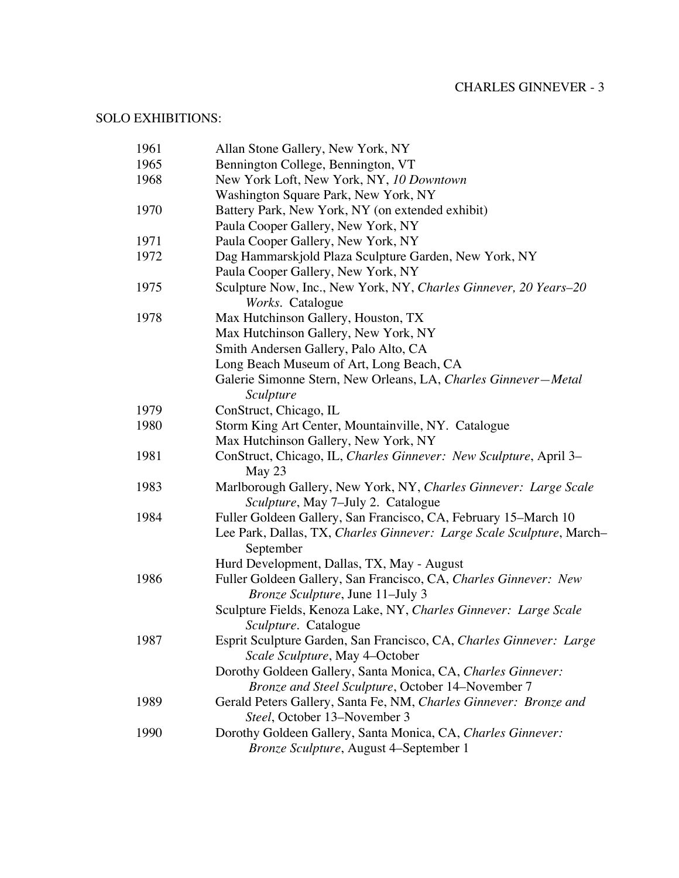## SOLO EXHIBITIONS:

| 1961 | Allan Stone Gallery, New York, NY                                                    |
|------|--------------------------------------------------------------------------------------|
| 1965 | Bennington College, Bennington, VT                                                   |
| 1968 | New York Loft, New York, NY, 10 Downtown                                             |
|      | Washington Square Park, New York, NY                                                 |
| 1970 | Battery Park, New York, NY (on extended exhibit)                                     |
|      | Paula Cooper Gallery, New York, NY                                                   |
| 1971 | Paula Cooper Gallery, New York, NY                                                   |
| 1972 | Dag Hammarskjold Plaza Sculpture Garden, New York, NY                                |
|      | Paula Cooper Gallery, New York, NY                                                   |
| 1975 | Sculpture Now, Inc., New York, NY, Charles Ginnever, 20 Years-20<br>Works. Catalogue |
| 1978 | Max Hutchinson Gallery, Houston, TX                                                  |
|      | Max Hutchinson Gallery, New York, NY                                                 |
|      | Smith Andersen Gallery, Palo Alto, CA                                                |
|      | Long Beach Museum of Art, Long Beach, CA                                             |
|      | Galerie Simonne Stern, New Orleans, LA, Charles Ginnever-Metal                       |
|      | Sculpture                                                                            |
| 1979 | ConStruct, Chicago, IL                                                               |
| 1980 | Storm King Art Center, Mountainville, NY. Catalogue                                  |
|      | Max Hutchinson Gallery, New York, NY                                                 |
| 1981 | ConStruct, Chicago, IL, Charles Ginnever: New Sculpture, April 3–<br>May 23          |
| 1983 | Marlborough Gallery, New York, NY, Charles Ginnever: Large Scale                     |
|      | Sculpture, May 7-July 2. Catalogue                                                   |
| 1984 | Fuller Goldeen Gallery, San Francisco, CA, February 15–March 10                      |
|      | Lee Park, Dallas, TX, Charles Ginnever: Large Scale Sculpture, March-<br>September   |
|      | Hurd Development, Dallas, TX, May - August                                           |
| 1986 | Fuller Goldeen Gallery, San Francisco, CA, Charles Ginnever: New                     |
|      | <i>Bronze Sculpture, June 11–July 3</i>                                              |
|      | Sculpture Fields, Kenoza Lake, NY, Charles Ginnever: Large Scale                     |
|      | Sculpture. Catalogue                                                                 |
| 1987 | Esprit Sculpture Garden, San Francisco, CA, Charles Ginnever: Large                  |
|      | Scale Sculpture, May 4-October                                                       |
|      | Dorothy Goldeen Gallery, Santa Monica, CA, Charles Ginnever:                         |
|      | Bronze and Steel Sculpture, October 14-November 7                                    |
| 1989 | Gerald Peters Gallery, Santa Fe, NM, Charles Ginnever: Bronze and                    |
|      | Steel, October 13-November 3                                                         |
| 1990 | Dorothy Goldeen Gallery, Santa Monica, CA, Charles Ginnever:                         |
|      | Bronze Sculpture, August 4-September 1                                               |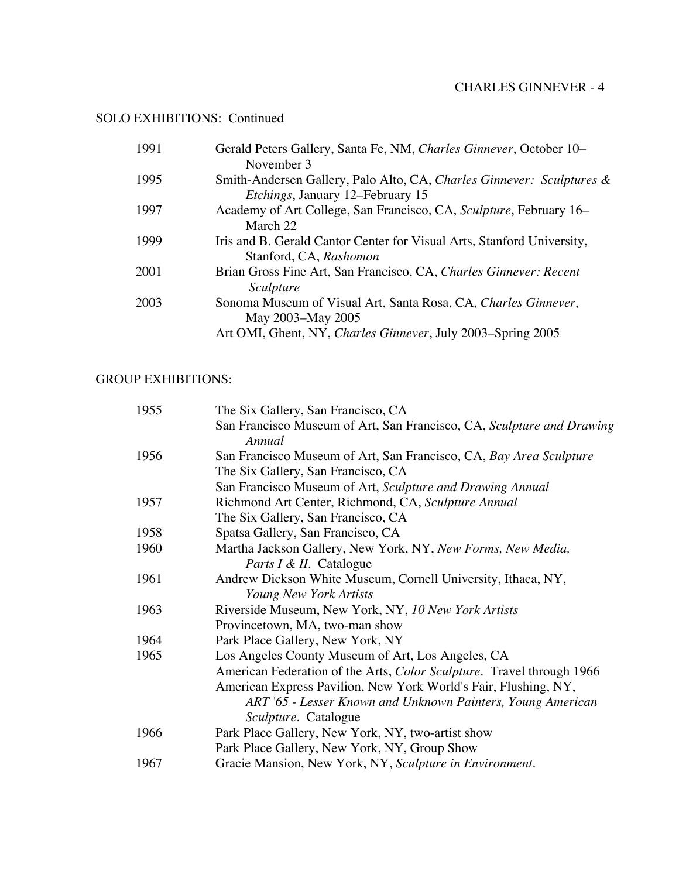## SOLO EXHIBITIONS: Continued

| 1991 | Gerald Peters Gallery, Santa Fe, NM, Charles Ginnever, October 10–     |
|------|------------------------------------------------------------------------|
|      | November 3                                                             |
| 1995 | Smith-Andersen Gallery, Palo Alto, CA, Charles Ginnever: Sculptures &  |
|      | <i>Etchings</i> , January 12–February 15                               |
| 1997 | Academy of Art College, San Francisco, CA, Sculpture, February 16–     |
|      | March 22                                                               |
| 1999 | Iris and B. Gerald Cantor Center for Visual Arts, Stanford University, |
|      | Stanford, CA, Rashomon                                                 |
| 2001 | Brian Gross Fine Art, San Francisco, CA, Charles Ginnever: Recent      |
|      | Sculpture                                                              |
| 2003 | Sonoma Museum of Visual Art, Santa Rosa, CA, Charles Ginnever,         |
|      | May 2003–May 2005                                                      |
|      | Art OMI, Ghent, NY, Charles Ginnever, July 2003–Spring 2005            |
|      |                                                                        |

### GROUP EXHIBITIONS:

| 1955 | The Six Gallery, San Francisco, CA                                              |
|------|---------------------------------------------------------------------------------|
|      | San Francisco Museum of Art, San Francisco, CA, Sculpture and Drawing<br>Annual |
| 1956 | San Francisco Museum of Art, San Francisco, CA, Bay Area Sculpture              |
|      | The Six Gallery, San Francisco, CA                                              |
|      | San Francisco Museum of Art, Sculpture and Drawing Annual                       |
| 1957 | Richmond Art Center, Richmond, CA, Sculpture Annual                             |
|      | The Six Gallery, San Francisco, CA                                              |
| 1958 | Spatsa Gallery, San Francisco, CA                                               |
| 1960 | Martha Jackson Gallery, New York, NY, New Forms, New Media,                     |
|      | <i>Parts I &amp; II.</i> Catalogue                                              |
| 1961 | Andrew Dickson White Museum, Cornell University, Ithaca, NY,                    |
|      | Young New York Artists                                                          |
| 1963 | Riverside Museum, New York, NY, 10 New York Artists                             |
|      | Provincetown, MA, two-man show                                                  |
| 1964 | Park Place Gallery, New York, NY                                                |
| 1965 | Los Angeles County Museum of Art, Los Angeles, CA                               |
|      | American Federation of the Arts, Color Sculpture. Travel through 1966           |
|      | American Express Pavilion, New York World's Fair, Flushing, NY,                 |
|      | ART '65 - Lesser Known and Unknown Painters, Young American                     |
|      | <i>Sculpture.</i> Catalogue                                                     |
| 1966 | Park Place Gallery, New York, NY, two-artist show                               |
|      | Park Place Gallery, New York, NY, Group Show                                    |
| 1967 | Gracie Mansion, New York, NY, Sculpture in Environment.                         |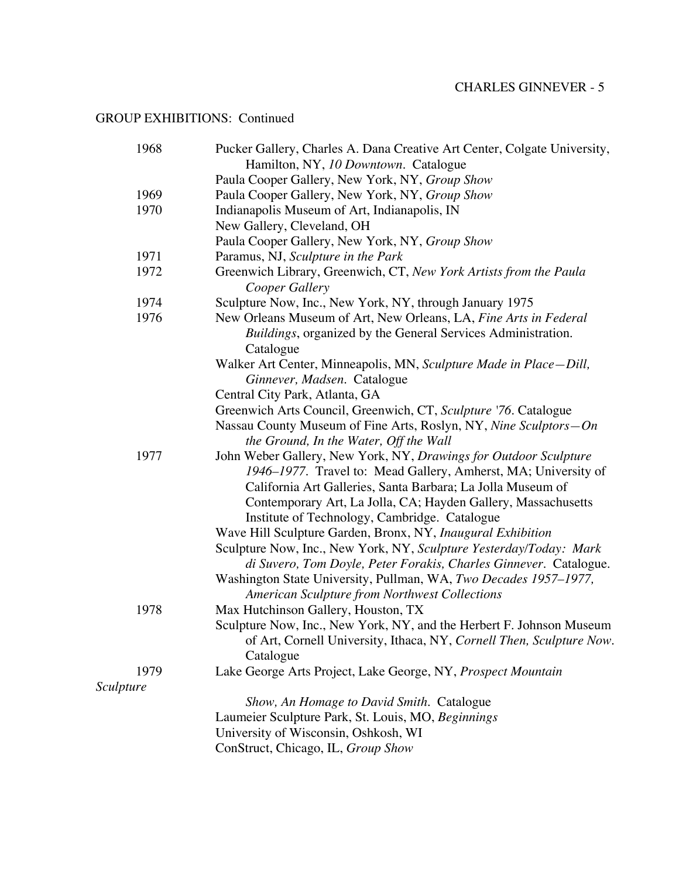| 1968      | Pucker Gallery, Charles A. Dana Creative Art Center, Colgate University,                                                           |
|-----------|------------------------------------------------------------------------------------------------------------------------------------|
|           | Hamilton, NY, 10 Downtown. Catalogue                                                                                               |
|           | Paula Cooper Gallery, New York, NY, Group Show                                                                                     |
| 1969      | Paula Cooper Gallery, New York, NY, Group Show                                                                                     |
| 1970      | Indianapolis Museum of Art, Indianapolis, IN                                                                                       |
|           | New Gallery, Cleveland, OH                                                                                                         |
|           | Paula Cooper Gallery, New York, NY, Group Show                                                                                     |
| 1971      | Paramus, NJ, Sculpture in the Park                                                                                                 |
| 1972      | Greenwich Library, Greenwich, CT, New York Artists from the Paula<br>Cooper Gallery                                                |
| 1974      | Sculpture Now, Inc., New York, NY, through January 1975                                                                            |
| 1976      | New Orleans Museum of Art, New Orleans, LA, Fine Arts in Federal                                                                   |
|           | Buildings, organized by the General Services Administration.<br>Catalogue                                                          |
|           | Walker Art Center, Minneapolis, MN, Sculpture Made in Place-Dill,                                                                  |
|           | Ginnever, Madsen. Catalogue                                                                                                        |
|           | Central City Park, Atlanta, GA                                                                                                     |
|           | Greenwich Arts Council, Greenwich, CT, Sculpture '76. Catalogue                                                                    |
|           | Nassau County Museum of Fine Arts, Roslyn, NY, Nine Sculptors-On<br>the Ground, In the Water, Off the Wall                         |
| 1977      | John Weber Gallery, New York, NY, Drawings for Outdoor Sculpture<br>1946–1977. Travel to: Mead Gallery, Amherst, MA; University of |
|           | California Art Galleries, Santa Barbara; La Jolla Museum of                                                                        |
|           | Contemporary Art, La Jolla, CA; Hayden Gallery, Massachusetts                                                                      |
|           | Institute of Technology, Cambridge. Catalogue                                                                                      |
|           | Wave Hill Sculpture Garden, Bronx, NY, Inaugural Exhibition                                                                        |
|           | Sculpture Now, Inc., New York, NY, Sculpture Yesterday/Today: Mark                                                                 |
|           | di Suvero, Tom Doyle, Peter Forakis, Charles Ginnever. Catalogue.                                                                  |
|           | Washington State University, Pullman, WA, Two Decades 1957–1977,                                                                   |
|           | <b>American Sculpture from Northwest Collections</b>                                                                               |
| 1978      | Max Hutchinson Gallery, Houston, TX                                                                                                |
|           | Sculpture Now, Inc., New York, NY, and the Herbert F. Johnson Museum                                                               |
|           | of Art, Cornell University, Ithaca, NY, Cornell Then, Sculpture Now.<br>Catalogue                                                  |
| 1979      | Lake George Arts Project, Lake George, NY, Prospect Mountain                                                                       |
| Sculpture |                                                                                                                                    |
|           | Show, An Homage to David Smith. Catalogue                                                                                          |
|           | Laumeier Sculpture Park, St. Louis, MO, Beginnings                                                                                 |
|           | University of Wisconsin, Oshkosh, WI                                                                                               |
|           | ConStruct, Chicago, IL, Group Show                                                                                                 |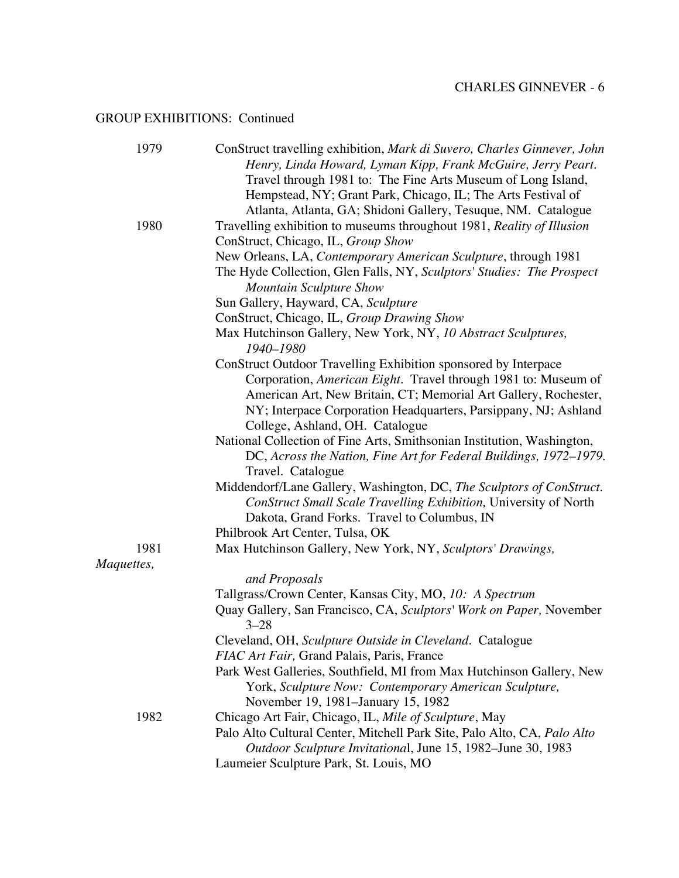| 1979       | ConStruct travelling exhibition, Mark di Suvero, Charles Ginnever, John |
|------------|-------------------------------------------------------------------------|
|            | Henry, Linda Howard, Lyman Kipp, Frank McGuire, Jerry Peart.            |
|            | Travel through 1981 to: The Fine Arts Museum of Long Island,            |
|            | Hempstead, NY; Grant Park, Chicago, IL; The Arts Festival of            |
|            | Atlanta, Atlanta, GA; Shidoni Gallery, Tesuque, NM. Catalogue           |
| 1980       | Travelling exhibition to museums throughout 1981, Reality of Illusion   |
|            | ConStruct, Chicago, IL, Group Show                                      |
|            | New Orleans, LA, Contemporary American Sculpture, through 1981          |
|            | The Hyde Collection, Glen Falls, NY, Sculptors' Studies: The Prospect   |
|            | <b>Mountain Sculpture Show</b>                                          |
|            | Sun Gallery, Hayward, CA, Sculpture                                     |
|            | ConStruct, Chicago, IL, Group Drawing Show                              |
|            | Max Hutchinson Gallery, New York, NY, 10 Abstract Sculptures,           |
|            | 1940-1980                                                               |
|            | ConStruct Outdoor Travelling Exhibition sponsored by Interpace          |
|            | Corporation, American Eight. Travel through 1981 to: Museum of          |
|            | American Art, New Britain, CT; Memorial Art Gallery, Rochester,         |
|            | NY; Interpace Corporation Headquarters, Parsippany, NJ; Ashland         |
|            | College, Ashland, OH. Catalogue                                         |
|            | National Collection of Fine Arts, Smithsonian Institution, Washington,  |
|            | DC, Across the Nation, Fine Art for Federal Buildings, 1972-1979.       |
|            | Travel. Catalogue                                                       |
|            | Middendorf/Lane Gallery, Washington, DC, The Sculptors of ConStruct.    |
|            | ConStruct Small Scale Travelling Exhibition, University of North        |
|            | Dakota, Grand Forks. Travel to Columbus, IN                             |
|            | Philbrook Art Center, Tulsa, OK                                         |
| 1981       | Max Hutchinson Gallery, New York, NY, Sculptors' Drawings,              |
| Maquettes, |                                                                         |
|            | and Proposals                                                           |
|            | Tallgrass/Crown Center, Kansas City, MO, 10: A Spectrum                 |
|            | Quay Gallery, San Francisco, CA, Sculptors' Work on Paper, November     |
|            | $3 - 28$                                                                |
|            | Cleveland, OH, Sculpture Outside in Cleveland. Catalogue                |
|            | FIAC Art Fair, Grand Palais, Paris, France                              |
|            | Park West Galleries, Southfield, MI from Max Hutchinson Gallery, New    |
|            | York, Sculpture Now: Contemporary American Sculpture,                   |
|            | November 19, 1981–January 15, 1982                                      |
| 1982       | Chicago Art Fair, Chicago, IL, Mile of Sculpture, May                   |
|            | Palo Alto Cultural Center, Mitchell Park Site, Palo Alto, CA, Palo Alto |
|            | Outdoor Sculpture Invitational, June 15, 1982–June 30, 1983             |
|            | Laumeier Sculpture Park, St. Louis, MO                                  |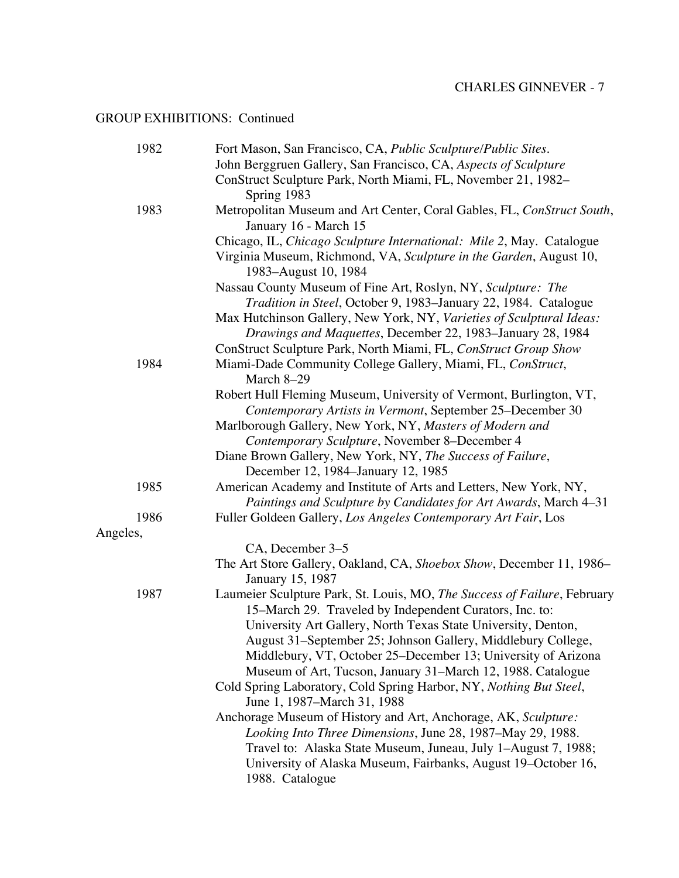| 1982     | Fort Mason, San Francisco, CA, Public Sculpture/Public Sites.                                                                      |
|----------|------------------------------------------------------------------------------------------------------------------------------------|
|          | John Berggruen Gallery, San Francisco, CA, Aspects of Sculpture                                                                    |
|          | ConStruct Sculpture Park, North Miami, FL, November 21, 1982-                                                                      |
|          | Spring 1983                                                                                                                        |
| 1983     | Metropolitan Museum and Art Center, Coral Gables, FL, ConStruct South,                                                             |
|          | January 16 - March 15                                                                                                              |
|          | Chicago, IL, Chicago Sculpture International: Mile 2, May. Catalogue                                                               |
|          | Virginia Museum, Richmond, VA, Sculpture in the Garden, August 10,<br>1983–August 10, 1984                                         |
|          | Nassau County Museum of Fine Art, Roslyn, NY, Sculpture: The                                                                       |
|          | Tradition in Steel, October 9, 1983–January 22, 1984. Catalogue                                                                    |
|          | Max Hutchinson Gallery, New York, NY, Varieties of Sculptural Ideas:<br>Drawings and Maquettes, December 22, 1983-January 28, 1984 |
|          | ConStruct Sculpture Park, North Miami, FL, ConStruct Group Show                                                                    |
| 1984     | Miami-Dade Community College Gallery, Miami, FL, ConStruct,<br>March 8-29                                                          |
|          | Robert Hull Fleming Museum, University of Vermont, Burlington, VT,                                                                 |
|          | Contemporary Artists in Vermont, September 25–December 30                                                                          |
|          | Marlborough Gallery, New York, NY, Masters of Modern and                                                                           |
|          | Contemporary Sculpture, November 8-December 4                                                                                      |
|          | Diane Brown Gallery, New York, NY, The Success of Failure,                                                                         |
|          | December 12, 1984–January 12, 1985                                                                                                 |
| 1985     | American Academy and Institute of Arts and Letters, New York, NY,                                                                  |
|          | Paintings and Sculpture by Candidates for Art Awards, March 4-31                                                                   |
| 1986     | Fuller Goldeen Gallery, Los Angeles Contemporary Art Fair, Los                                                                     |
| Angeles, |                                                                                                                                    |
|          | CA, December 3–5                                                                                                                   |
|          | The Art Store Gallery, Oakland, CA, Shoebox Show, December 11, 1986–<br>January 15, 1987                                           |
| 1987     | Laumeier Sculpture Park, St. Louis, MO, The Success of Failure, February                                                           |
|          | 15-March 29. Traveled by Independent Curators, Inc. to:                                                                            |
|          | University Art Gallery, North Texas State University, Denton,                                                                      |
|          | August 31-September 25; Johnson Gallery, Middlebury College,                                                                       |
|          | Middlebury, VT, October 25–December 13; University of Arizona                                                                      |
|          | Museum of Art, Tucson, January 31–March 12, 1988. Catalogue                                                                        |
|          | Cold Spring Laboratory, Cold Spring Harbor, NY, Nothing But Steel,                                                                 |
|          | June 1, 1987–March 31, 1988                                                                                                        |
|          | Anchorage Museum of History and Art, Anchorage, AK, Sculpture:                                                                     |
|          | Looking Into Three Dimensions, June 28, 1987–May 29, 1988.                                                                         |
|          | Travel to: Alaska State Museum, Juneau, July 1-August 7, 1988;                                                                     |
|          | University of Alaska Museum, Fairbanks, August 19–October 16,                                                                      |
|          | 1988. Catalogue                                                                                                                    |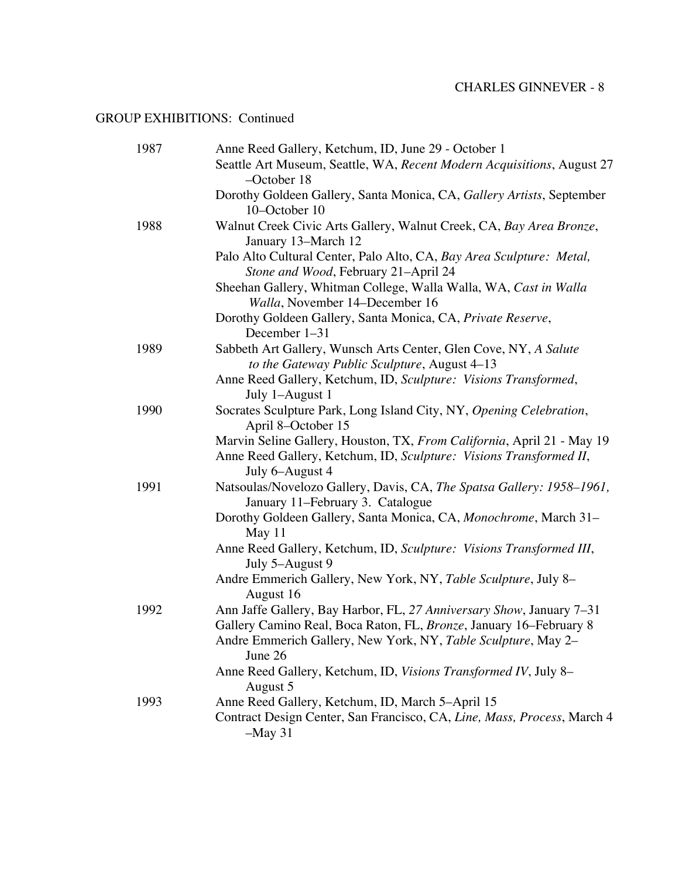| 1987 | Anne Reed Gallery, Ketchum, ID, June 29 - October 1                                                                                                                                                         |
|------|-------------------------------------------------------------------------------------------------------------------------------------------------------------------------------------------------------------|
|      | Seattle Art Museum, Seattle, WA, Recent Modern Acquisitions, August 27<br>$-$ October 18                                                                                                                    |
|      | Dorothy Goldeen Gallery, Santa Monica, CA, Gallery Artists, September<br>10-October 10                                                                                                                      |
| 1988 | Walnut Creek Civic Arts Gallery, Walnut Creek, CA, Bay Area Bronze,<br>January 13-March 12                                                                                                                  |
|      | Palo Alto Cultural Center, Palo Alto, CA, Bay Area Sculpture: Metal,<br>Stone and Wood, February 21-April 24                                                                                                |
|      | Sheehan Gallery, Whitman College, Walla Walla, WA, Cast in Walla<br>Walla, November 14–December 16                                                                                                          |
|      | Dorothy Goldeen Gallery, Santa Monica, CA, Private Reserve,<br>December 1-31                                                                                                                                |
| 1989 | Sabbeth Art Gallery, Wunsch Arts Center, Glen Cove, NY, A Salute<br>to the Gateway Public Sculpture, August 4-13                                                                                            |
|      | Anne Reed Gallery, Ketchum, ID, Sculpture: Visions Transformed,<br>July 1-August 1                                                                                                                          |
| 1990 | Socrates Sculpture Park, Long Island City, NY, Opening Celebration,<br>April 8-October 15                                                                                                                   |
|      | Marvin Seline Gallery, Houston, TX, From California, April 21 - May 19<br>Anne Reed Gallery, Ketchum, ID, Sculpture: Visions Transformed II,<br>July 6-August 4                                             |
| 1991 | Natsoulas/Novelozo Gallery, Davis, CA, The Spatsa Gallery: 1958-1961,<br>January 11–February 3. Catalogue                                                                                                   |
|      | Dorothy Goldeen Gallery, Santa Monica, CA, Monochrome, March 31-<br>May 11                                                                                                                                  |
|      | Anne Reed Gallery, Ketchum, ID, Sculpture: Visions Transformed III,<br>July 5-August 9                                                                                                                      |
|      | Andre Emmerich Gallery, New York, NY, Table Sculpture, July 8-<br>August 16                                                                                                                                 |
| 1992 | Ann Jaffe Gallery, Bay Harbor, FL, 27 Anniversary Show, January 7-31<br>Gallery Camino Real, Boca Raton, FL, Bronze, January 16–February 8<br>Andre Emmerich Gallery, New York, NY, Table Sculpture, May 2- |
|      | June 26                                                                                                                                                                                                     |
|      | Anne Reed Gallery, Ketchum, ID, Visions Transformed IV, July 8-<br>August 5                                                                                                                                 |
| 1993 | Anne Reed Gallery, Ketchum, ID, March 5-April 15                                                                                                                                                            |
|      | Contract Design Center, San Francisco, CA, Line, Mass, Process, March 4<br>$-May$ 31                                                                                                                        |